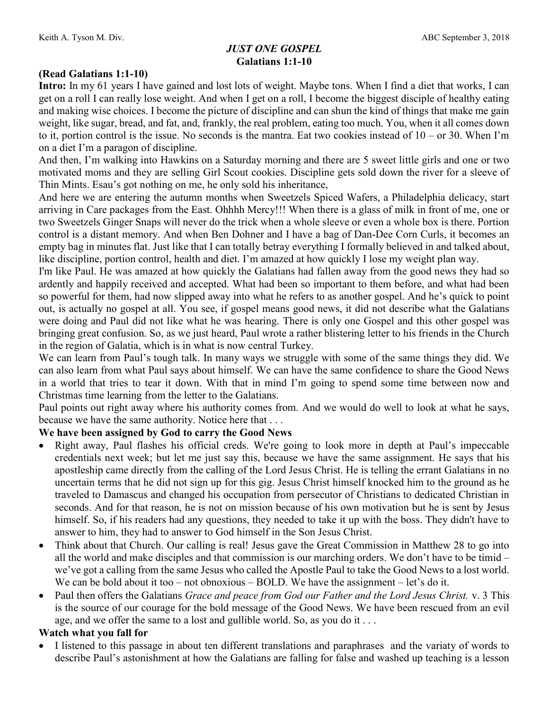# JUST ONE GOSPEL Galatians 1:1-10

## (Read Galatians 1:1-10)

Intro: In my 61 years I have gained and lost lots of weight. Maybe tons. When I find a diet that works, I can get on a roll I can really lose weight. And when I get on a roll, I become the biggest disciple of healthy eating and making wise choices. I become the picture of discipline and can shun the kind of things that make me gain weight, like sugar, bread, and fat, and, frankly, the real problem, eating too much. You, when it all comes down to it, portion control is the issue. No seconds is the mantra. Eat two cookies instead of  $10 -$  or 30. When I'm on a diet I'm a paragon of discipline.

And then, I'm walking into Hawkins on a Saturday morning and there are 5 sweet little girls and one or two motivated moms and they are selling Girl Scout cookies. Discipline gets sold down the river for a sleeve of Thin Mints. Esau's got nothing on me, he only sold his inheritance,

And here we are entering the autumn months when Sweetzels Spiced Wafers, a Philadelphia delicacy, start arriving in Care packages from the East. Ohhhh Mercy!!! When there is a glass of milk in front of me, one or two Sweetzels Ginger Snaps will never do the trick when a whole sleeve or even a whole box is there. Portion control is a distant memory. And when Ben Dohner and I have a bag of Dan-Dee Corn Curls, it becomes an empty bag in minutes flat. Just like that I can totally betray everything I formally believed in and talked about, like discipline, portion control, health and diet. I'm amazed at how quickly I lose my weight plan way.

I'm like Paul. He was amazed at how quickly the Galatians had fallen away from the good news they had so ardently and happily received and accepted. What had been so important to them before, and what had been so powerful for them, had now slipped away into what he refers to as another gospel. And he's quick to point out, is actually no gospel at all. You see, if gospel means good news, it did not describe what the Galatians were doing and Paul did not like what he was hearing. There is only one Gospel and this other gospel was bringing great confusion. So, as we just heard, Paul wrote a rather blistering letter to his friends in the Church in the region of Galatia, which is in what is now central Turkey.

We can learn from Paul's tough talk. In many ways we struggle with some of the same things they did. We can also learn from what Paul says about himself. We can have the same confidence to share the Good News in a world that tries to tear it down. With that in mind I'm going to spend some time between now and Christmas time learning from the letter to the Galatians.

Paul points out right away where his authority comes from. And we would do well to look at what he says, because we have the same authority. Notice here that . . .

#### We have been assigned by God to carry the Good News

- Right away, Paul flashes his official creds. We're going to look more in depth at Paul's impeccable credentials next week; but let me just say this, because we have the same assignment. He says that his apostleship came directly from the calling of the Lord Jesus Christ. He is telling the errant Galatians in no uncertain terms that he did not sign up for this gig. Jesus Christ himself knocked him to the ground as he traveled to Damascus and changed his occupation from persecutor of Christians to dedicated Christian in seconds. And for that reason, he is not on mission because of his own motivation but he is sent by Jesus himself. So, if his readers had any questions, they needed to take it up with the boss. They didn't have to answer to him, they had to answer to God himself in the Son Jesus Christ.
- Think about that Church. Our calling is real! Jesus gave the Great Commission in Matthew 28 to go into all the world and make disciples and that commission is our marching orders. We don't have to be timid – we've got a calling from the same Jesus who called the Apostle Paul to take the Good News to a lost world. We can be bold about it too – not obnoxious – BOLD. We have the assignment – let's do it.
- Paul then offers the Galatians Grace and peace from God our Father and the Lord Jesus Christ. v. 3 This is the source of our courage for the bold message of the Good News. We have been rescued from an evil age, and we offer the same to a lost and gullible world. So, as you do it . . .

#### Watch what you fall for

 I listened to this passage in about ten different translations and paraphrases and the variaty of words to describe Paul's astonishment at how the Galatians are falling for false and washed up teaching is a lesson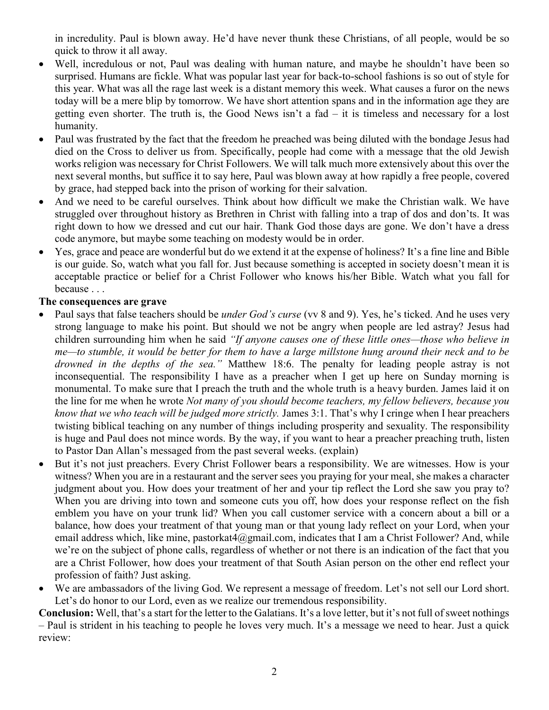in incredulity. Paul is blown away. He'd have never thunk these Christians, of all people, would be so quick to throw it all away.

- Well, incredulous or not, Paul was dealing with human nature, and maybe he shouldn't have been so surprised. Humans are fickle. What was popular last year for back-to-school fashions is so out of style for this year. What was all the rage last week is a distant memory this week. What causes a furor on the news today will be a mere blip by tomorrow. We have short attention spans and in the information age they are getting even shorter. The truth is, the Good News isn't a fad – it is timeless and necessary for a lost humanity.
- Paul was frustrated by the fact that the freedom he preached was being diluted with the bondage Jesus had died on the Cross to deliver us from. Specifically, people had come with a message that the old Jewish works religion was necessary for Christ Followers. We will talk much more extensively about this over the next several months, but suffice it to say here, Paul was blown away at how rapidly a free people, covered by grace, had stepped back into the prison of working for their salvation.
- And we need to be careful ourselves. Think about how difficult we make the Christian walk. We have struggled over throughout history as Brethren in Christ with falling into a trap of dos and don'ts. It was right down to how we dressed and cut our hair. Thank God those days are gone. We don't have a dress code anymore, but maybe some teaching on modesty would be in order.
- Yes, grace and peace are wonderful but do we extend it at the expense of holiness? It's a fine line and Bible is our guide. So, watch what you fall for. Just because something is accepted in society doesn't mean it is acceptable practice or belief for a Christ Follower who knows his/her Bible. Watch what you fall for because . . .

### The consequences are grave

- Paul says that false teachers should be *under God's curse* (vv 8 and 9). Yes, he's ticked. And he uses very strong language to make his point. But should we not be angry when people are led astray? Jesus had children surrounding him when he said "If anyone causes one of these little ones—those who believe in me—to stumble, it would be better for them to have a large millstone hung around their neck and to be drowned in the depths of the sea." Matthew 18:6. The penalty for leading people astray is not inconsequential. The responsibility I have as a preacher when I get up here on Sunday morning is monumental. To make sure that I preach the truth and the whole truth is a heavy burden. James laid it on the line for me when he wrote *Not many of you should become teachers, my fellow believers, because you* know that we who teach will be judged more strictly. James 3:1. That's why I cringe when I hear preachers twisting biblical teaching on any number of things including prosperity and sexuality. The responsibility is huge and Paul does not mince words. By the way, if you want to hear a preacher preaching truth, listen to Pastor Dan Allan's messaged from the past several weeks. (explain)
- But it's not just preachers. Every Christ Follower bears a responsibility. We are witnesses. How is your witness? When you are in a restaurant and the server sees you praying for your meal, she makes a character judgment about you. How does your treatment of her and your tip reflect the Lord she saw you pray to? When you are driving into town and someone cuts you off, how does your response reflect on the fish emblem you have on your trunk lid? When you call customer service with a concern about a bill or a balance, how does your treatment of that young man or that young lady reflect on your Lord, when your email address which, like mine, pastorkat4@gmail.com, indicates that I am a Christ Follower? And, while we're on the subject of phone calls, regardless of whether or not there is an indication of the fact that you are a Christ Follower, how does your treatment of that South Asian person on the other end reflect your profession of faith? Just asking.
- We are ambassadors of the living God. We represent a message of freedom. Let's not sell our Lord short. Let's do honor to our Lord, even as we realize our tremendous responsibility.

Conclusion: Well, that's a start for the letter to the Galatians. It's a love letter, but it's not full of sweet nothings – Paul is strident in his teaching to people he loves very much. It's a message we need to hear. Just a quick review: